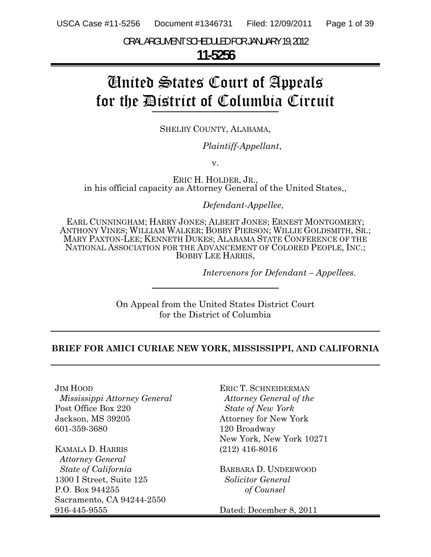ORAL ARGUMENT SCHEDULED FOR JANUARY 19, 2012

## **11-5256**

# United States Court of Appeals for the District of Columbia Circuit

SHELBY COUNTY, ALABAMA,

*Plaintiff-Appellant*,

v.

ERIC H. HOLDER, JR.,<br>in his official capacity as Attorney General of the United States,,

*Defendant-Appellee*,

EARL CUNNINGHAM; HARRY JONES; ALBERT JONES; ERNEST MONTGOMERY; ANTHONY VINES; WILLIAM WALKER; BOBBY PIERSON; WILLIE GOLDSMITH, SR.; MARY PAXTON-LEE; KENNETH DUKES; ALABAMA STATE CONFERENCE OF THE NATIONAL ASSOCIATION FOR THE ADVANCEMENT OF COLORED PEOPLE, INC.; BOBBY LEE HARRIS,

*Intervenors for Defendant – Appellees*.

On Appeal from the United States District Court for the District of Columbia

#### **BRIEF FOR AMICI CURIAE NEW YORK, MISSISSIPPI, AND CALIFORNIA**

JIM HOOD *Mississippi Attorney General*  Post Office Box 220 Jackson, MS 39205 601-359-3680

٦

KAMALA D. HARRIS *Attorney General State of California* 1300 I Street, Suite 125 P.O. Box 944255 Sacramento, CA 94244-2550 916-445-9555

ERIC T. SCHNEIDERMAN  *Attorney General of the State of New York* Attorney for New York 120 Broadway New York, New York 10271 (212) 416-8016

BARBARA D. UNDERWOOD *Solicitor General of Counsel*

Dated: December 8, 2011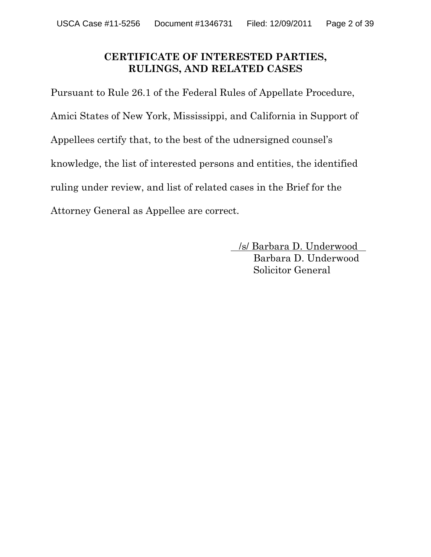## **CERTIFICATE OF INTERESTED PARTIES, RULINGS, AND RELATED CASES**

Pursuant to Rule 26.1 of the Federal Rules of Appellate Procedure, Amici States of New York, Mississippi, and California in Support of Appellees certify that, to the best of the udnersigned counsel's knowledge, the list of interested persons and entities, the identified ruling under review, and list of related cases in the Brief for the Attorney General as Appellee are correct.

> . /s/ Barbara D. Underwood . Barbara D. Underwood Solicitor General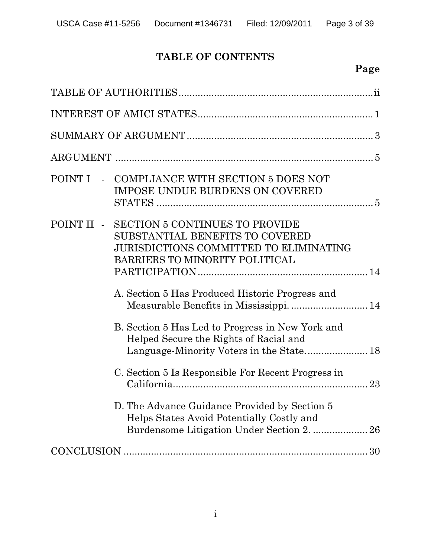## **TABLE OF CONTENTS**

## **Page**

|  | POINT I - COMPLIANCE WITH SECTION 5 DOES NOT<br><b>IMPOSE UNDUE BURDENS ON COVERED</b>                                                                   |  |  |  |  |
|--|----------------------------------------------------------------------------------------------------------------------------------------------------------|--|--|--|--|
|  | POINT II - SECTION 5 CONTINUES TO PROVIDE<br>SUBSTANTIAL BENEFITS TO COVERED<br>JURISDICTIONS COMMITTED TO ELIMINATING<br>BARRIERS TO MINORITY POLITICAL |  |  |  |  |
|  | A. Section 5 Has Produced Historic Progress and                                                                                                          |  |  |  |  |
|  | B. Section 5 Has Led to Progress in New York and<br>Helped Secure the Rights of Racial and<br>Language-Minority Voters in the State 18                   |  |  |  |  |
|  | C. Section 5 Is Responsible For Recent Progress in                                                                                                       |  |  |  |  |
|  | D. The Advance Guidance Provided by Section 5<br>Helps States Avoid Potentially Costly and<br>Burdensome Litigation Under Section 2.  26                 |  |  |  |  |
|  |                                                                                                                                                          |  |  |  |  |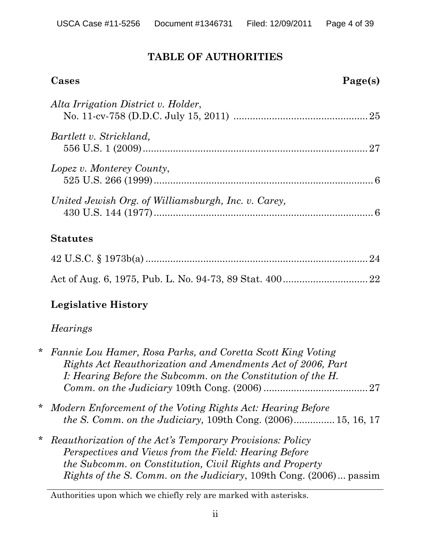## **TABLE OF AUTHORITIES**

| Cases                                               | Page(s) |
|-----------------------------------------------------|---------|
| Alta Irrigation District v. Holder,                 |         |
| Bartlett v. Strickland,                             |         |
| Lopez v. Monterey County,                           |         |
| United Jewish Org. of Williamsburgh, Inc. v. Carey, |         |
| <b>Statutes</b>                                     |         |
|                                                     | 24      |
|                                                     | 22      |

## **Legislative History**

## *Hearings*

| $\ast$ | Fannie Lou Hamer, Rosa Parks, and Coretta Scott King Voting<br>Rights Act Reauthorization and Amendments Act of 2006, Part                                                                                                                                        |
|--------|-------------------------------------------------------------------------------------------------------------------------------------------------------------------------------------------------------------------------------------------------------------------|
|        | I: Hearing Before the Subcomm. on the Constitution of the H.                                                                                                                                                                                                      |
| *      | Modern Enforcement of the Voting Rights Act: Hearing Before<br><i>the S. Comm. on the Judiciary,</i> 109th Cong. $(2006)$ 15, 16, 17                                                                                                                              |
| $\ast$ | <i>Reauthorization of the Act's Temporary Provisions: Policy</i><br>Perspectives and Views from the Field: Hearing Before<br>the Subcomm. on Constitution, Civil Rights and Property<br><i>Rights of the S. Comm. on the Judiciary, 109th Cong. (2006) passim</i> |

Authorities upon which we chiefly rely are marked with asterisks.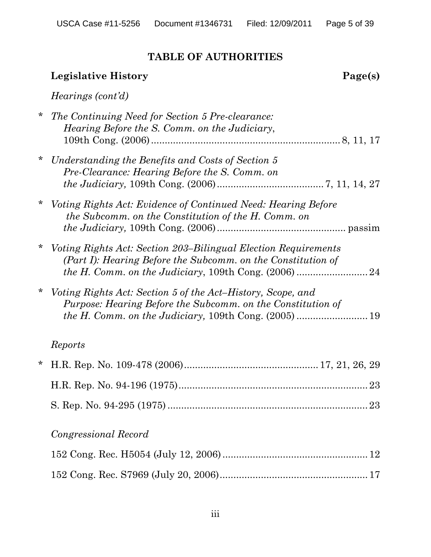## **TABLE OF AUTHORITIES**

## **Legislative History** Page(s)

## *Hearings (cont'd)*

| * | The Continuing Need for Section 5 Pre-clearance:<br>Hearing Before the S. Comm. on the Judiciary,                                     |  |
|---|---------------------------------------------------------------------------------------------------------------------------------------|--|
| * | Understanding the Benefits and Costs of Section 5<br>Pre-Clearance: Hearing Before the S. Comm. on                                    |  |
| * | Voting Rights Act: Evidence of Continued Need: Hearing Before<br>the Subcomm. on the Constitution of the H. Comm. on                  |  |
|   | <i>Voting Rights Act: Section 203–Bilingual Election Requirements</i><br>(Part I): Hearing Before the Subcomm. on the Constitution of |  |
| * | Voting Rights Act: Section 5 of the Act-History, Scope, and<br>Purpose: Hearing Before the Subcomm. on the Constitution of            |  |
|   | Reports                                                                                                                               |  |
| * |                                                                                                                                       |  |
|   |                                                                                                                                       |  |
|   | 23                                                                                                                                    |  |
|   | Congressional Record                                                                                                                  |  |
|   |                                                                                                                                       |  |
|   |                                                                                                                                       |  |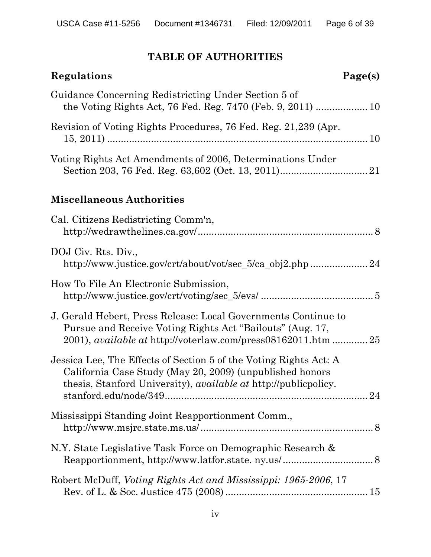## **TABLE OF AUTHORITIES**

| Page(s)<br>Regulations                                                                                                                                                                                  |  |
|---------------------------------------------------------------------------------------------------------------------------------------------------------------------------------------------------------|--|
| Guidance Concerning Redistricting Under Section 5 of                                                                                                                                                    |  |
| Revision of Voting Rights Procedures, 76 Fed. Reg. 21,239 (Apr.                                                                                                                                         |  |
| Voting Rights Act Amendments of 2006, Determinations Under                                                                                                                                              |  |
| <b>Miscellaneous Authorities</b>                                                                                                                                                                        |  |
| Cal. Citizens Redistricting Comm'n,                                                                                                                                                                     |  |
| DOJ Civ. Rts. Div.,<br>http://www.justice.gov/crt/about/vot/sec_5/ca_obj2.php 24                                                                                                                        |  |
| How To File An Electronic Submission,                                                                                                                                                                   |  |
| J. Gerald Hebert, Press Release: Local Governments Continue to<br>Pursue and Receive Voting Rights Act "Bailouts" (Aug. 17,<br>2001), <i>available at http://voterlaw.com/press08162011.htm 25</i>      |  |
| Jessica Lee, The Effects of Section 5 of the Voting Rights Act: A<br>California Case Study (May 20, 2009) (unpublished honors<br>thesis, Stanford University), <i>available at</i> http://publicpolicy. |  |
| Mississippi Standing Joint Reapportionment Comm.,                                                                                                                                                       |  |
| N.Y. State Legislative Task Force on Demographic Research &                                                                                                                                             |  |
| Robert McDuff, Voting Rights Act and Mississippi: 1965-2006, 17                                                                                                                                         |  |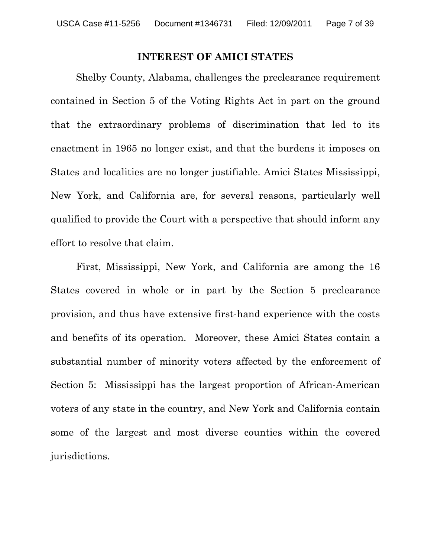#### **INTEREST OF AMICI STATES**

Shelby County, Alabama, challenges the preclearance requirement contained in Section 5 of the Voting Rights Act in part on the ground that the extraordinary problems of discrimination that led to its enactment in 1965 no longer exist, and that the burdens it imposes on States and localities are no longer justifiable. Amici States Mississippi, New York, and California are, for several reasons, particularly well qualified to provide the Court with a perspective that should inform any effort to resolve that claim.

First, Mississippi, New York, and California are among the 16 States covered in whole or in part by the Section 5 preclearance provision, and thus have extensive first-hand experience with the costs and benefits of its operation. Moreover, these Amici States contain a substantial number of minority voters affected by the enforcement of Section 5: Mississippi has the largest proportion of African-American voters of any state in the country, and New York and California contain some of the largest and most diverse counties within the covered jurisdictions.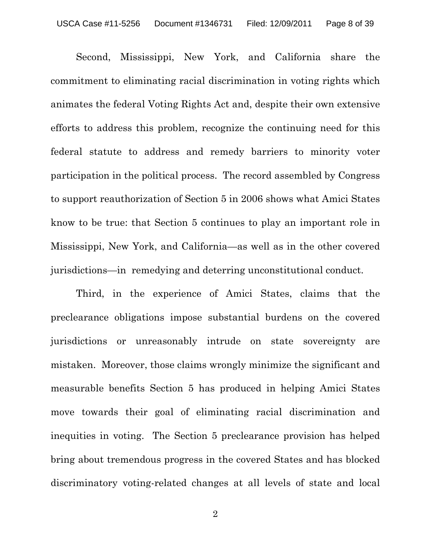Second, Mississippi, New York, and California share the commitment to eliminating racial discrimination in voting rights which animates the federal Voting Rights Act and, despite their own extensive efforts to address this problem, recognize the continuing need for this federal statute to address and remedy barriers to minority voter participation in the political process. The record assembled by Congress to support reauthorization of Section 5 in 2006 shows what Amici States know to be true: that Section 5 continues to play an important role in Mississippi, New York, and California—as well as in the other covered jurisdictions—in remedying and deterring unconstitutional conduct.

Third, in the experience of Amici States, claims that the preclearance obligations impose substantial burdens on the covered jurisdictions or unreasonably intrude on state sovereignty are mistaken. Moreover, those claims wrongly minimize the significant and measurable benefits Section 5 has produced in helping Amici States move towards their goal of eliminating racial discrimination and inequities in voting. The Section 5 preclearance provision has helped bring about tremendous progress in the covered States and has blocked discriminatory voting-related changes at all levels of state and local

2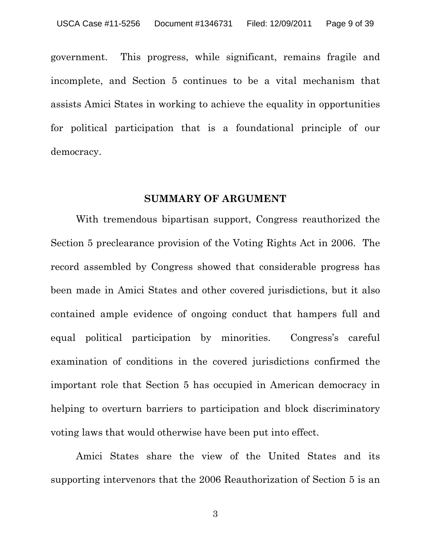government. This progress, while significant, remains fragile and incomplete, and Section 5 continues to be a vital mechanism that assists Amici States in working to achieve the equality in opportunities for political participation that is a foundational principle of our democracy.

#### **SUMMARY OF ARGUMENT**

With tremendous bipartisan support, Congress reauthorized the Section 5 preclearance provision of the Voting Rights Act in 2006. The record assembled by Congress showed that considerable progress has been made in Amici States and other covered jurisdictions, but it also contained ample evidence of ongoing conduct that hampers full and equal political participation by minorities. Congress's careful examination of conditions in the covered jurisdictions confirmed the important role that Section 5 has occupied in American democracy in helping to overturn barriers to participation and block discriminatory voting laws that would otherwise have been put into effect.

Amici States share the view of the United States and its supporting intervenors that the 2006 Reauthorization of Section 5 is an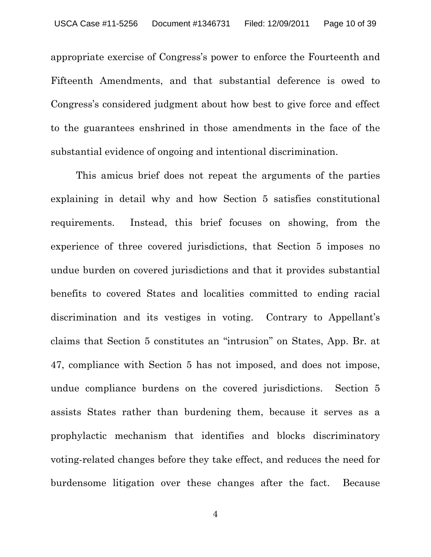appropriate exercise of Congress's power to enforce the Fourteenth and Fifteenth Amendments, and that substantial deference is owed to Congress's considered judgment about how best to give force and effect to the guarantees enshrined in those amendments in the face of the substantial evidence of ongoing and intentional discrimination.

This amicus brief does not repeat the arguments of the parties explaining in detail why and how Section 5 satisfies constitutional requirements. Instead, this brief focuses on showing, from the experience of three covered jurisdictions, that Section 5 imposes no undue burden on covered jurisdictions and that it provides substantial benefits to covered States and localities committed to ending racial discrimination and its vestiges in voting. Contrary to Appellant's claims that Section 5 constitutes an "intrusion" on States, App. Br. at 47, compliance with Section 5 has not imposed, and does not impose, undue compliance burdens on the covered jurisdictions. Section 5 assists States rather than burdening them, because it serves as a prophylactic mechanism that identifies and blocks discriminatory voting-related changes before they take effect, and reduces the need for burdensome litigation over these changes after the fact. Because

4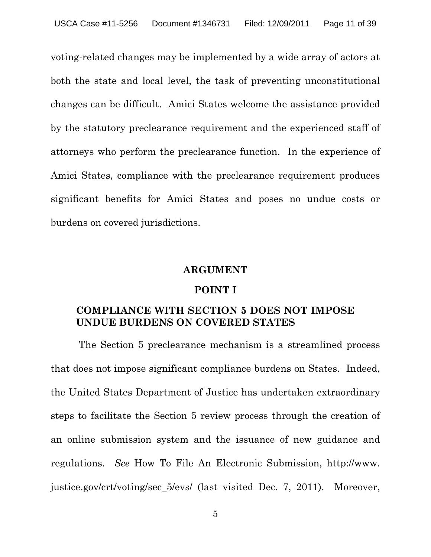voting-related changes may be implemented by a wide array of actors at both the state and local level, the task of preventing unconstitutional changes can be difficult. Amici States welcome the assistance provided by the statutory preclearance requirement and the experienced staff of attorneys who perform the preclearance function. In the experience of Amici States, compliance with the preclearance requirement produces significant benefits for Amici States and poses no undue costs or burdens on covered jurisdictions.

#### **ARGUMENT**

#### **POINT I**

## **COMPLIANCE WITH SECTION 5 DOES NOT IMPOSE UNDUE BURDENS ON COVERED STATES**

 The Section 5 preclearance mechanism is a streamlined process that does not impose significant compliance burdens on States. Indeed, the United States Department of Justice has undertaken extraordinary steps to facilitate the Section 5 review process through the creation of an online submission system and the issuance of new guidance and regulations. *See* How To File An Electronic Submission, http://www. justice.gov/crt/voting/sec\_5/evs/ (last visited Dec. 7, 2011). Moreover,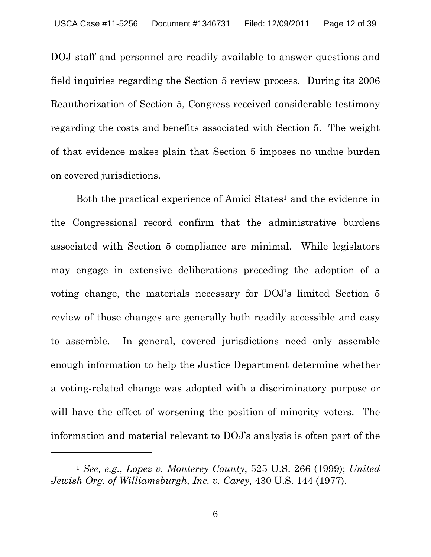DOJ staff and personnel are readily available to answer questions and field inquiries regarding the Section 5 review process. During its 2006 Reauthorization of Section 5, Congress received considerable testimony regarding the costs and benefits associated with Section 5. The weight of that evidence makes plain that Section 5 imposes no undue burden on covered jurisdictions.

Both the practical experience of Amici States<sup>1</sup> and the evidence in the Congressional record confirm that the administrative burdens associated with Section 5 compliance are minimal. While legislators may engage in extensive deliberations preceding the adoption of a voting change, the materials necessary for DOJ's limited Section 5 review of those changes are generally both readily accessible and easy to assemble. In general, covered jurisdictions need only assemble enough information to help the Justice Department determine whether a voting-related change was adopted with a discriminatory purpose or will have the effect of worsening the position of minority voters. The information and material relevant to DOJ's analysis is often part of the

 $\overline{a}$ 

<sup>1</sup> *See, e.g.*, *Lopez v. Monterey County*, 525 U.S. 266 (1999); *United Jewish Org. of Williamsburgh, Inc. v. Carey,* 430 U.S. 144 (1977).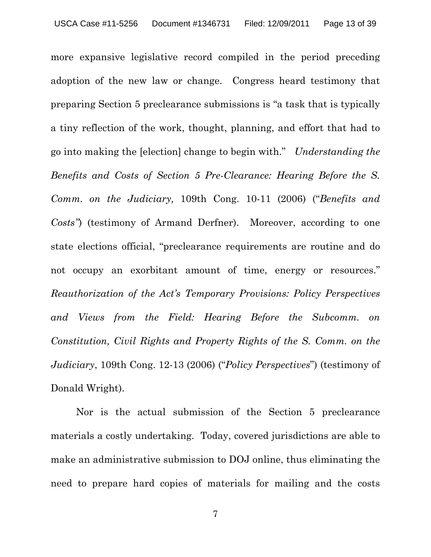more expansive legislative record compiled in the period preceding adoption of the new law or change. Congress heard testimony that preparing Section 5 preclearance submissions is "a task that is typically a tiny reflection of the work, thought, planning, and effort that had to go into making the [election] change to begin with." *Understanding the Benefits and Costs of Section 5 Pre-Clearance: Hearing Before the S. Comm. on the Judiciary,* 109th Cong. 10-11 (2006) ("*Benefits and Costs"*) (testimony of Armand Derfner). Moreover, according to one state elections official, "preclearance requirements are routine and do not occupy an exorbitant amount of time, energy or resources." *Reauthorization of the Act's Temporary Provisions: Policy Perspectives and Views from the Field: Hearing Before the Subcomm. on Constitution, Civil Rights and Property Rights of the S. Comm. on the Judiciary*, 109th Cong. 12-13 (2006) ("*Policy Perspectives*") (testimony of Donald Wright).

Nor is the actual submission of the Section 5 preclearance materials a costly undertaking. Today, covered jurisdictions are able to make an administrative submission to DOJ online, thus eliminating the need to prepare hard copies of materials for mailing and the costs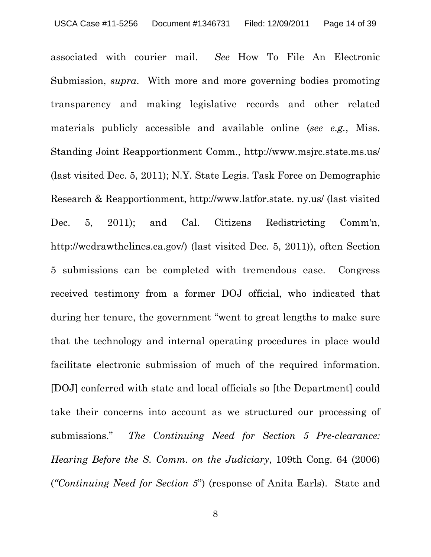associated with courier mail. *See* How To File An Electronic Submission, *supra*. With more and more governing bodies promoting transparency and making legislative records and other related materials publicly accessible and available online (*see e.g.*, Miss. Standing Joint Reapportionment Comm., http://www.msjrc.state.ms.us/ (last visited Dec. 5, 2011); N.Y. State Legis. Task Force on Demographic Research & Reapportionment, http://www.latfor.state. ny.us/ (last visited Dec. 5, 2011); and Cal. Citizens Redistricting Comm'n, http://wedrawthelines.ca.gov/) (last visited Dec. 5, 2011)), often Section 5 submissions can be completed with tremendous ease. Congress received testimony from a former DOJ official, who indicated that during her tenure, the government "went to great lengths to make sure that the technology and internal operating procedures in place would facilitate electronic submission of much of the required information. [DOJ] conferred with state and local officials so [the Department] could take their concerns into account as we structured our processing of submissions." *The Continuing Need for Section 5 Pre-clearance: Hearing Before the S. Comm. on the Judiciary*, 109th Cong. 64 (2006) (*"Continuing Need for Section 5*") (response of Anita Earls). State and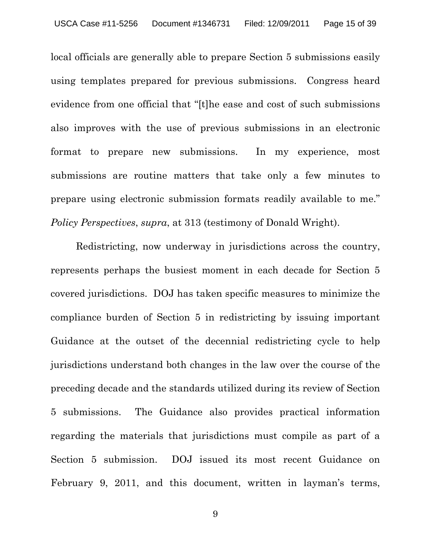local officials are generally able to prepare Section 5 submissions easily using templates prepared for previous submissions. Congress heard evidence from one official that "[t]he ease and cost of such submissions also improves with the use of previous submissions in an electronic format to prepare new submissions. In my experience, most submissions are routine matters that take only a few minutes to prepare using electronic submission formats readily available to me." *Policy Perspectives*, *supra*, at 313 (testimony of Donald Wright).

Redistricting, now underway in jurisdictions across the country, represents perhaps the busiest moment in each decade for Section 5 covered jurisdictions. DOJ has taken specific measures to minimize the compliance burden of Section 5 in redistricting by issuing important Guidance at the outset of the decennial redistricting cycle to help jurisdictions understand both changes in the law over the course of the preceding decade and the standards utilized during its review of Section 5 submissions. The Guidance also provides practical information regarding the materials that jurisdictions must compile as part of a Section 5 submission. DOJ issued its most recent Guidance on February 9, 2011, and this document, written in layman's terms,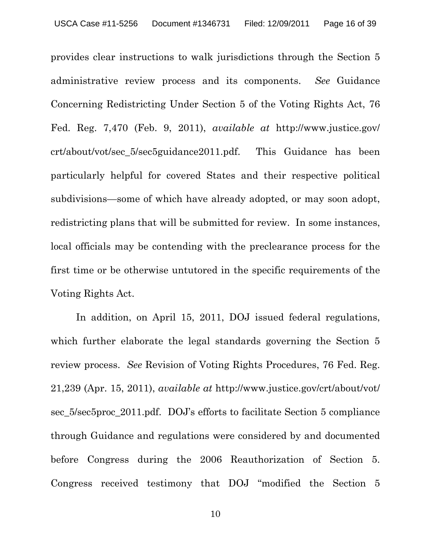provides clear instructions to walk jurisdictions through the Section 5 administrative review process and its components. *See* Guidance Concerning Redistricting Under Section 5 of the Voting Rights Act, 76 Fed. Reg. 7,470 (Feb. 9, 2011), *available at* http://www.justice.gov/ crt/about/vot/sec\_5/sec5guidance2011.pdf. This Guidance has been particularly helpful for covered States and their respective political subdivisions—some of which have already adopted, or may soon adopt, redistricting plans that will be submitted for review. In some instances, local officials may be contending with the preclearance process for the first time or be otherwise untutored in the specific requirements of the Voting Rights Act.

In addition, on April 15, 2011, DOJ issued federal regulations, which further elaborate the legal standards governing the Section 5 review process. *See* Revision of Voting Rights Procedures, 76 Fed. Reg. 21,239 (Apr. 15, 2011), *available at* http://www.justice.gov/crt/about/vot/ sec\_5/sec5proc\_2011.pdf. DOJ's efforts to facilitate Section 5 compliance through Guidance and regulations were considered by and documented before Congress during the 2006 Reauthorization of Section 5. Congress received testimony that DOJ "modified the Section 5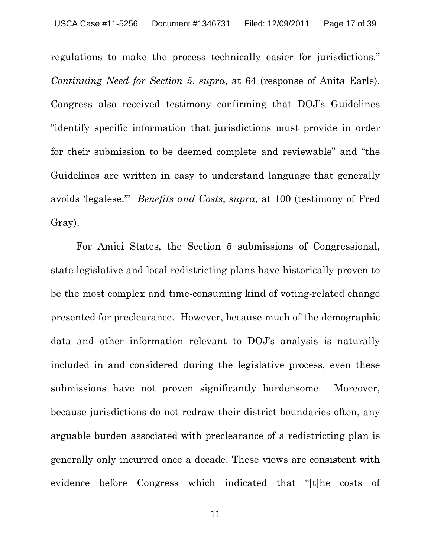regulations to make the process technically easier for jurisdictions." *Continuing Need for Section 5*, *supra*, at 64 (response of Anita Earls). Congress also received testimony confirming that DOJ's Guidelines "identify specific information that jurisdictions must provide in order for their submission to be deemed complete and reviewable" and "the Guidelines are written in easy to understand language that generally avoids 'legalese.'" *Benefits and Costs*, *supra*, at 100 (testimony of Fred Gray).

For Amici States, the Section 5 submissions of Congressional, state legislative and local redistricting plans have historically proven to be the most complex and time-consuming kind of voting-related change presented for preclearance. However, because much of the demographic data and other information relevant to DOJ's analysis is naturally included in and considered during the legislative process, even these submissions have not proven significantly burdensome. Moreover, because jurisdictions do not redraw their district boundaries often, any arguable burden associated with preclearance of a redistricting plan is generally only incurred once a decade. These views are consistent with evidence before Congress which indicated that "[t]he costs of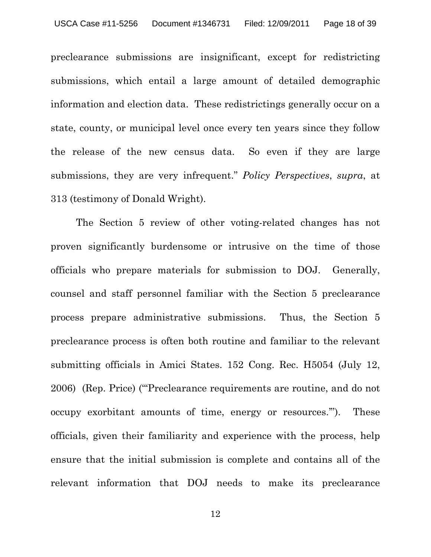preclearance submissions are insignificant, except for redistricting submissions, which entail a large amount of detailed demographic information and election data. These redistrictings generally occur on a state, county, or municipal level once every ten years since they follow the release of the new census data. So even if they are large submissions, they are very infrequent." *Policy Perspectives*, *supra*, at 313 (testimony of Donald Wright).

The Section 5 review of other voting-related changes has not proven significantly burdensome or intrusive on the time of those officials who prepare materials for submission to DOJ. Generally, counsel and staff personnel familiar with the Section 5 preclearance process prepare administrative submissions. Thus, the Section 5 preclearance process is often both routine and familiar to the relevant submitting officials in Amici States. 152 Cong. Rec. H5054 (July 12, 2006) (Rep. Price) ("'Preclearance requirements are routine, and do not occupy exorbitant amounts of time, energy or resources.'"). These officials, given their familiarity and experience with the process, help ensure that the initial submission is complete and contains all of the relevant information that DOJ needs to make its preclearance

12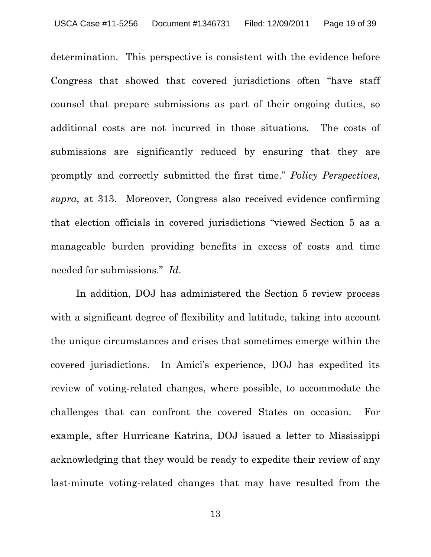determination. This perspective is consistent with the evidence before Congress that showed that covered jurisdictions often "have staff counsel that prepare submissions as part of their ongoing duties, so additional costs are not incurred in those situations. The costs of submissions are significantly reduced by ensuring that they are promptly and correctly submitted the first time." *Policy Perspectives*, *supra*, at 313. Moreover, Congress also received evidence confirming that election officials in covered jurisdictions "viewed Section 5 as a manageable burden providing benefits in excess of costs and time needed for submissions." *Id*.

In addition, DOJ has administered the Section 5 review process with a significant degree of flexibility and latitude, taking into account the unique circumstances and crises that sometimes emerge within the covered jurisdictions. In Amici's experience, DOJ has expedited its review of voting-related changes, where possible, to accommodate the challenges that can confront the covered States on occasion. For example, after Hurricane Katrina, DOJ issued a letter to Mississippi acknowledging that they would be ready to expedite their review of any last-minute voting-related changes that may have resulted from the

13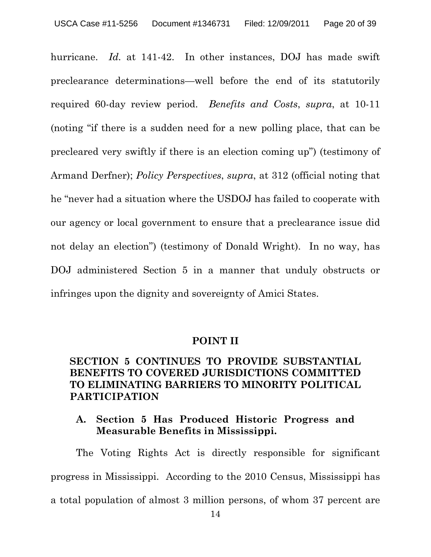hurricane. *Id.* at 141-42. In other instances, DOJ has made swift preclearance determinations—well before the end of its statutorily required 60-day review period. *Benefits and Costs*, *supra*, at 10-11 (noting "if there is a sudden need for a new polling place, that can be precleared very swiftly if there is an election coming up") (testimony of Armand Derfner); *Policy Perspectives*, *supra*, at 312 (official noting that he "never had a situation where the USDOJ has failed to cooperate with our agency or local government to ensure that a preclearance issue did not delay an election") (testimony of Donald Wright). In no way, has DOJ administered Section 5 in a manner that unduly obstructs or infringes upon the dignity and sovereignty of Amici States.

#### **POINT II**

## **SECTION 5 CONTINUES TO PROVIDE SUBSTANTIAL BENEFITS TO COVERED JURISDICTIONS COMMITTED TO ELIMINATING BARRIERS TO MINORITY POLITICAL PARTICIPATION**

## **A. Section 5 Has Produced Historic Progress and Measurable Benefits in Mississippi.**

The Voting Rights Act is directly responsible for significant progress in Mississippi. According to the 2010 Census, Mississippi has a total population of almost 3 million persons, of whom 37 percent are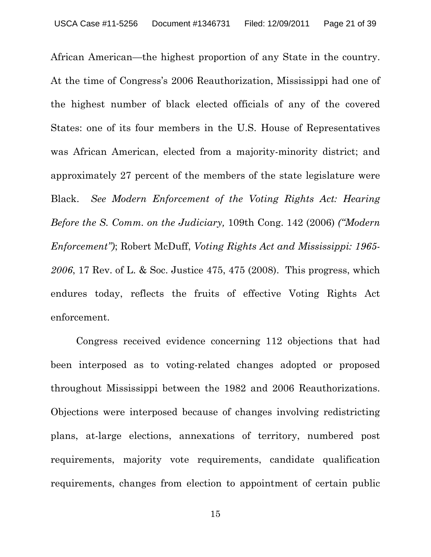African American—the highest proportion of any State in the country. At the time of Congress's 2006 Reauthorization, Mississippi had one of the highest number of black elected officials of any of the covered States: one of its four members in the U.S. House of Representatives was African American, elected from a majority-minority district; and approximately 27 percent of the members of the state legislature were Black. *See Modern Enforcement of the Voting Rights Act: Hearing Before the S. Comm. on the Judiciary,* 109th Cong. 142 (2006) *("Modern Enforcement")*; Robert McDuff, *Voting Rights Act and Mississippi: 1965- 2006*, 17 Rev. of L. & Soc. Justice 475, 475 (2008). This progress, which endures today, reflects the fruits of effective Voting Rights Act enforcement.

Congress received evidence concerning 112 objections that had been interposed as to voting-related changes adopted or proposed throughout Mississippi between the 1982 and 2006 Reauthorizations. Objections were interposed because of changes involving redistricting plans, at-large elections, annexations of territory, numbered post requirements, majority vote requirements, candidate qualification requirements, changes from election to appointment of certain public

15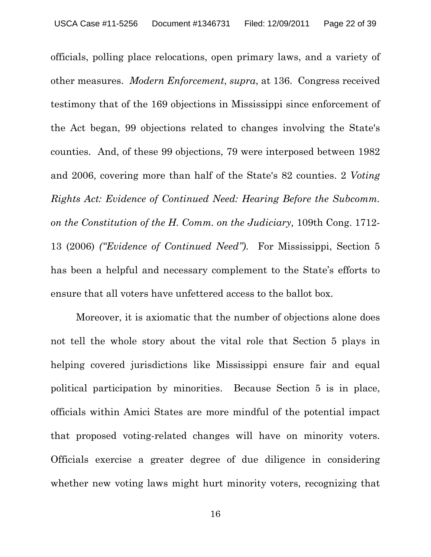officials, polling place relocations, open primary laws, and a variety of other measures. *Modern Enforcement*, *supra*, at 136. Congress received testimony that of the 169 objections in Mississippi since enforcement of the Act began, 99 objections related to changes involving the State's counties. And, of these 99 objections, 79 were interposed between 1982 and 2006, covering more than half of the State's 82 counties. 2 *Voting Rights Act: Evidence of Continued Need: Hearing Before the Subcomm. on the Constitution of the H. Comm. on the Judiciary,* 109th Cong. 1712- 13 (2006) *("Evidence of Continued Need")*. For Mississippi, Section 5 has been a helpful and necessary complement to the State's efforts to ensure that all voters have unfettered access to the ballot box.

Moreover, it is axiomatic that the number of objections alone does not tell the whole story about the vital role that Section 5 plays in helping covered jurisdictions like Mississippi ensure fair and equal political participation by minorities. Because Section 5 is in place, officials within Amici States are more mindful of the potential impact that proposed voting-related changes will have on minority voters. Officials exercise a greater degree of due diligence in considering whether new voting laws might hurt minority voters, recognizing that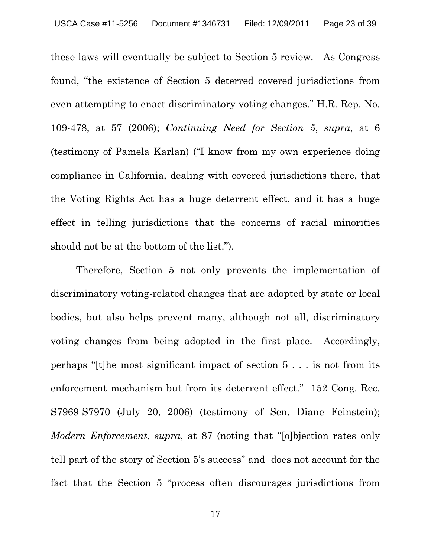these laws will eventually be subject to Section 5 review. As Congress found, "the existence of Section 5 deterred covered jurisdictions from even attempting to enact discriminatory voting changes." H.R. Rep. No. 109-478, at 57 (2006); *Continuing Need for Section 5*, *supra*, at 6 (testimony of Pamela Karlan) ("I know from my own experience doing compliance in California, dealing with covered jurisdictions there, that the Voting Rights Act has a huge deterrent effect, and it has a huge effect in telling jurisdictions that the concerns of racial minorities should not be at the bottom of the list.").

Therefore, Section 5 not only prevents the implementation of discriminatory voting-related changes that are adopted by state or local bodies, but also helps prevent many, although not all, discriminatory voting changes from being adopted in the first place. Accordingly, perhaps "[t]he most significant impact of section 5 . . . is not from its enforcement mechanism but from its deterrent effect." 152 Cong. Rec. S7969-S7970 (July 20, 2006) (testimony of Sen. Diane Feinstein); *Modern Enforcement*, *supra*, at 87 (noting that "[o]bjection rates only tell part of the story of Section 5's success" and does not account for the fact that the Section 5 "process often discourages jurisdictions from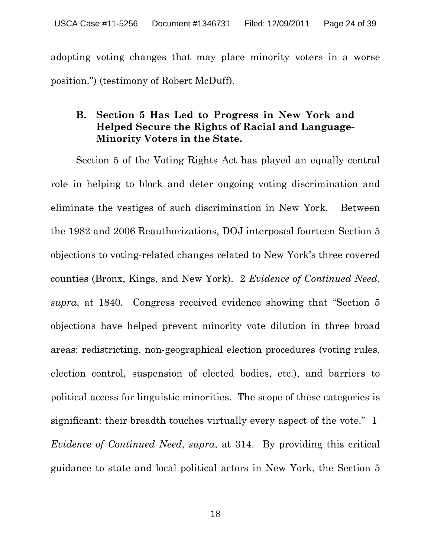adopting voting changes that may place minority voters in a worse position.") (testimony of Robert McDuff).

## **B. Section 5 Has Led to Progress in New York and Helped Secure the Rights of Racial and Language-Minority Voters in the State.**

Section 5 of the Voting Rights Act has played an equally central role in helping to block and deter ongoing voting discrimination and eliminate the vestiges of such discrimination in New York. Between the 1982 and 2006 Reauthorizations, DOJ interposed fourteen Section 5 objections to voting-related changes related to New York's three covered counties (Bronx, Kings, and New York). 2 *Evidence of Continued Need*, *supra*, at 1840. Congress received evidence showing that "Section 5 objections have helped prevent minority vote dilution in three broad areas: redistricting, non-geographical election procedures (voting rules, election control, suspension of elected bodies, etc.), and barriers to political access for linguistic minorities. The scope of these categories is significant: their breadth touches virtually every aspect of the vote." 1 *Evidence of Continued Need*, *supra*, at 314. By providing this critical guidance to state and local political actors in New York, the Section 5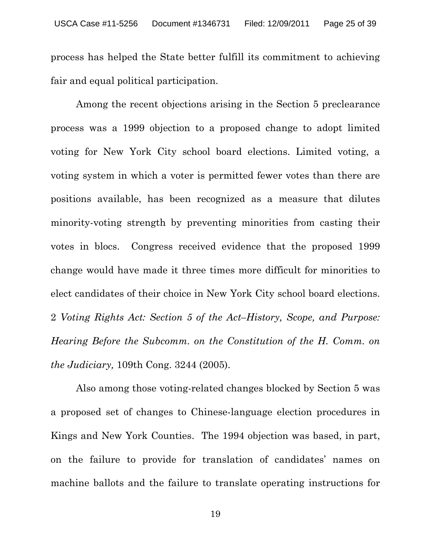process has helped the State better fulfill its commitment to achieving fair and equal political participation.

Among the recent objections arising in the Section 5 preclearance process was a 1999 objection to a proposed change to adopt limited voting for New York City school board elections. Limited voting, a voting system in which a voter is permitted fewer votes than there are positions available, has been recognized as a measure that dilutes minority-voting strength by preventing minorities from casting their votes in blocs. Congress received evidence that the proposed 1999 change would have made it three times more difficult for minorities to elect candidates of their choice in New York City school board elections. 2 *Voting Rights Act: Section 5 of the Act–History, Scope, and Purpose: Hearing Before the Subcomm. on the Constitution of the H. Comm. on the Judiciary,* 109th Cong. 3244 (2005).

Also among those voting-related changes blocked by Section 5 was a proposed set of changes to Chinese-language election procedures in Kings and New York Counties. The 1994 objection was based, in part, on the failure to provide for translation of candidates' names on machine ballots and the failure to translate operating instructions for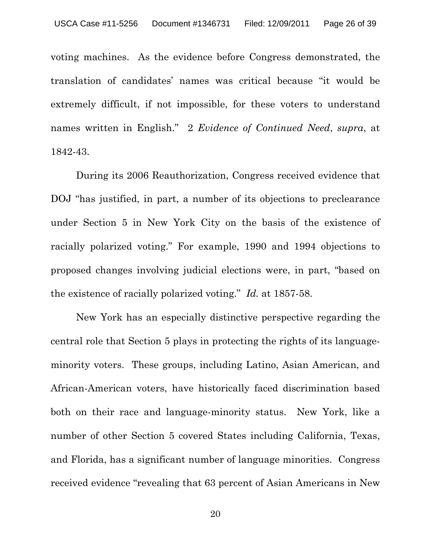voting machines. As the evidence before Congress demonstrated, the translation of candidates' names was critical because "it would be extremely difficult, if not impossible, for these voters to understand names written in English." 2 *Evidence of Continued Need*, *supra*, at 1842-43.

During its 2006 Reauthorization, Congress received evidence that DOJ "has justified, in part, a number of its objections to preclearance under Section 5 in New York City on the basis of the existence of racially polarized voting." For example, 1990 and 1994 objections to proposed changes involving judicial elections were, in part, "based on the existence of racially polarized voting." *Id.* at 1857-58.

New York has an especially distinctive perspective regarding the central role that Section 5 plays in protecting the rights of its languageminority voters. These groups, including Latino, Asian American, and African-American voters, have historically faced discrimination based both on their race and language-minority status. New York, like a number of other Section 5 covered States including California, Texas, and Florida, has a significant number of language minorities. Congress received evidence "revealing that 63 percent of Asian Americans in New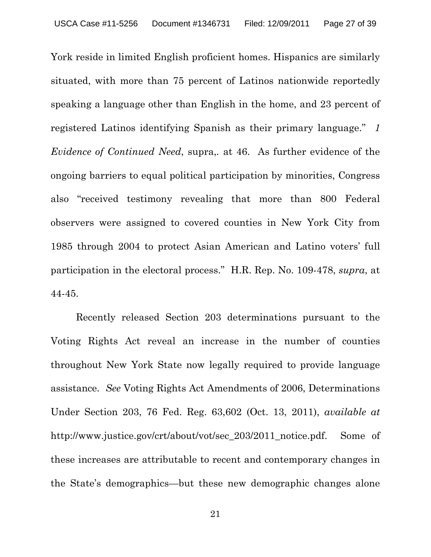York reside in limited English proficient homes. Hispanics are similarly situated, with more than 75 percent of Latinos nationwide reportedly speaking a language other than English in the home, and 23 percent of registered Latinos identifying Spanish as their primary language." *1 Evidence of Continued Need*, supra,*.* at 46. As further evidence of the ongoing barriers to equal political participation by minorities, Congress also "received testimony revealing that more than 800 Federal observers were assigned to covered counties in New York City from 1985 through 2004 to protect Asian American and Latino voters' full participation in the electoral process." H.R. Rep. No. 109-478, *supra*, at 44-45.

Recently released Section 203 determinations pursuant to the Voting Rights Act reveal an increase in the number of counties throughout New York State now legally required to provide language assistance. *See* Voting Rights Act Amendments of 2006, Determinations Under Section 203, 76 Fed. Reg. 63,602 (Oct. 13, 2011), *available at* http://www.justice.gov/crt/about/vot/sec\_203/2011\_notice.pdf. Some of these increases are attributable to recent and contemporary changes in the State's demographics—but these new demographic changes alone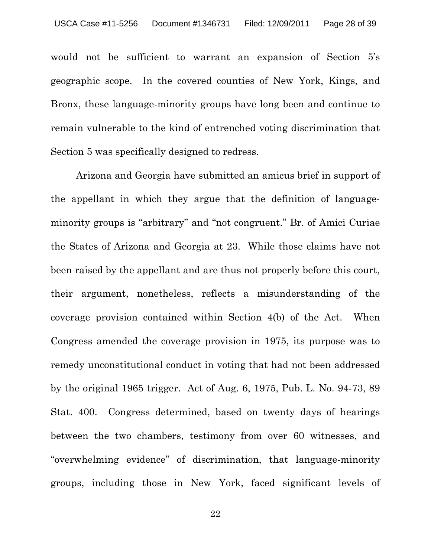would not be sufficient to warrant an expansion of Section 5's geographic scope. In the covered counties of New York, Kings, and Bronx, these language-minority groups have long been and continue to remain vulnerable to the kind of entrenched voting discrimination that Section 5 was specifically designed to redress.

Arizona and Georgia have submitted an amicus brief in support of the appellant in which they argue that the definition of languageminority groups is "arbitrary" and "not congruent." Br. of Amici Curiae the States of Arizona and Georgia at 23. While those claims have not been raised by the appellant and are thus not properly before this court, their argument, nonetheless, reflects a misunderstanding of the coverage provision contained within Section 4(b) of the Act. When Congress amended the coverage provision in 1975, its purpose was to remedy unconstitutional conduct in voting that had not been addressed by the original 1965 trigger. Act of Aug. 6, 1975, Pub. L. No. 94-73, 89 Stat. 400. Congress determined, based on twenty days of hearings between the two chambers, testimony from over 60 witnesses, and "overwhelming evidence" of discrimination, that language-minority groups, including those in New York, faced significant levels of

22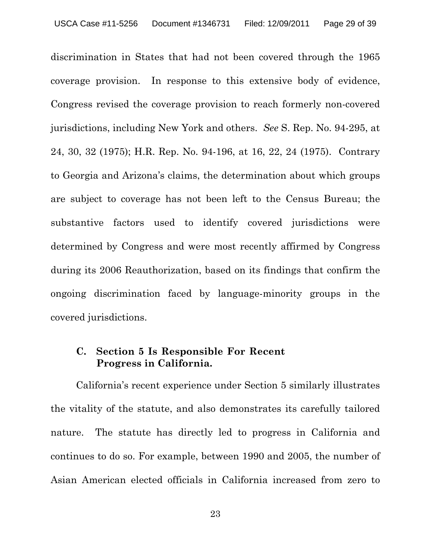discrimination in States that had not been covered through the 1965 coverage provision. In response to this extensive body of evidence, Congress revised the coverage provision to reach formerly non-covered jurisdictions, including New York and others. *See* S. Rep. No. 94-295, at 24, 30, 32 (1975); H.R. Rep. No. 94-196, at 16, 22, 24 (1975). Contrary to Georgia and Arizona's claims, the determination about which groups are subject to coverage has not been left to the Census Bureau; the substantive factors used to identify covered jurisdictions were determined by Congress and were most recently affirmed by Congress during its 2006 Reauthorization, based on its findings that confirm the ongoing discrimination faced by language-minority groups in the covered jurisdictions.

#### **C. Section 5 Is Responsible For Recent Progress in California.**

California's recent experience under Section 5 similarly illustrates the vitality of the statute, and also demonstrates its carefully tailored nature. The statute has directly led to progress in California and continues to do so. For example, between 1990 and 2005, the number of Asian American elected officials in California increased from zero to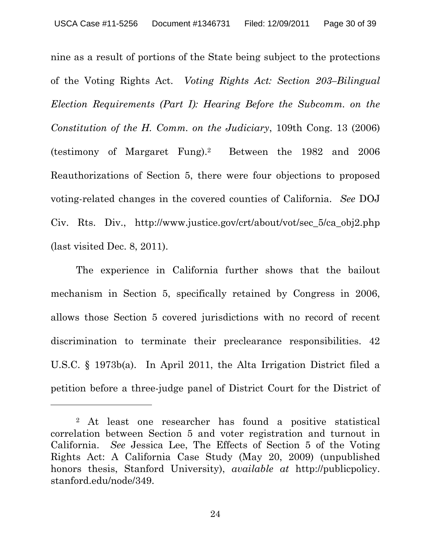nine as a result of portions of the State being subject to the protections of the Voting Rights Act. *Voting Rights Act: Section 203–Bilingual Election Requirements (Part I): Hearing Before the Subcomm. on the Constitution of the H. Comm. on the Judiciary*, 109th Cong. 13 (2006) (testimony of Margaret Fung).2 Between the 1982 and 2006 Reauthorizations of Section 5, there were four objections to proposed voting-related changes in the covered counties of California. *See* DOJ Civ. Rts. Div., http://www.justice.gov/crt/about/vot/sec\_5/ca\_obj2.php (last visited Dec. 8, 2011).

The experience in California further shows that the bailout mechanism in Section 5, specifically retained by Congress in 2006, allows those Section 5 covered jurisdictions with no record of recent discrimination to terminate their preclearance responsibilities. 42 U.S.C. § 1973b(a). In April 2011, the Alta Irrigation District filed a petition before a three-judge panel of District Court for the District of

-

24

<sup>2</sup> At least one researcher has found a positive statistical correlation between Section 5 and voter registration and turnout in California. *See* Jessica Lee, The Effects of Section 5 of the Voting Rights Act: A California Case Study (May 20, 2009) (unpublished honors thesis, Stanford University), *available at* http://publicpolicy. stanford.edu/node/349.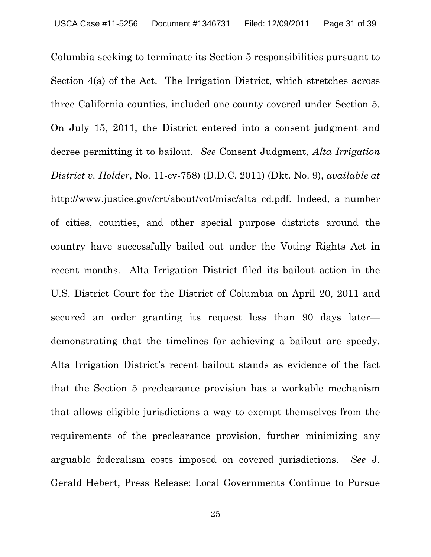Columbia seeking to terminate its Section 5 responsibilities pursuant to Section 4(a) of the Act. The Irrigation District, which stretches across three California counties, included one county covered under Section 5. On July 15, 2011, the District entered into a consent judgment and decree permitting it to bailout. *See* Consent Judgment, *Alta Irrigation District v. Holder*, No. 11-cv-758) (D.D.C. 2011) (Dkt. No. 9), *available at* http://www.justice.gov/crt/about/vot/misc/alta\_cd.pdf. Indeed, a number of cities, counties, and other special purpose districts around the country have successfully bailed out under the Voting Rights Act in recent months. Alta Irrigation District filed its bailout action in the U.S. District Court for the District of Columbia on April 20, 2011 and secured an order granting its request less than 90 days later demonstrating that the timelines for achieving a bailout are speedy. Alta Irrigation District's recent bailout stands as evidence of the fact that the Section 5 preclearance provision has a workable mechanism that allows eligible jurisdictions a way to exempt themselves from the requirements of the preclearance provision, further minimizing any arguable federalism costs imposed on covered jurisdictions. *See* J. Gerald Hebert, Press Release: Local Governments Continue to Pursue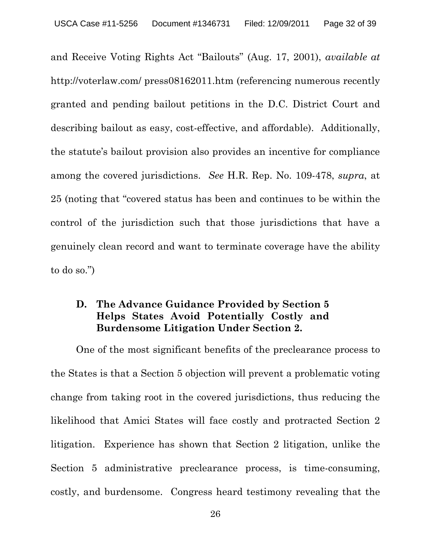and Receive Voting Rights Act "Bailouts" (Aug. 17, 2001), *available at* http://voterlaw.com/ press08162011.htm (referencing numerous recently granted and pending bailout petitions in the D.C. District Court and describing bailout as easy, cost-effective, and affordable). Additionally, the statute's bailout provision also provides an incentive for compliance among the covered jurisdictions. *See* H.R. Rep. No. 109-478, *supra*, at 25 (noting that "covered status has been and continues to be within the control of the jurisdiction such that those jurisdictions that have a genuinely clean record and want to terminate coverage have the ability to do so.")

## **D. The Advance Guidance Provided by Section 5 Helps States Avoid Potentially Costly and Burdensome Litigation Under Section 2.**

One of the most significant benefits of the preclearance process to the States is that a Section 5 objection will prevent a problematic voting change from taking root in the covered jurisdictions, thus reducing the likelihood that Amici States will face costly and protracted Section 2 litigation. Experience has shown that Section 2 litigation, unlike the Section 5 administrative preclearance process, is time-consuming, costly, and burdensome. Congress heard testimony revealing that the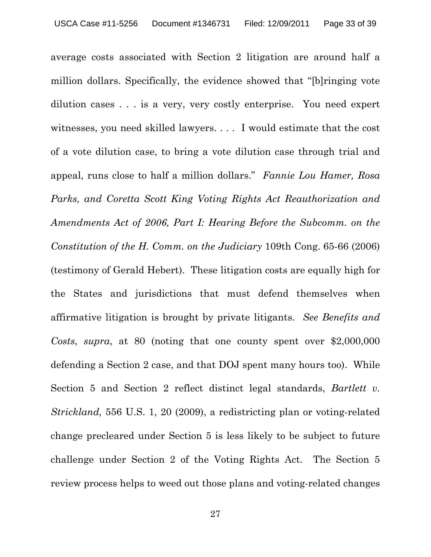average costs associated with Section 2 litigation are around half a million dollars. Specifically, the evidence showed that "[b]ringing vote dilution cases . . . is a very, very costly enterprise. You need expert witnesses, you need skilled lawyers. . . . I would estimate that the cost of a vote dilution case, to bring a vote dilution case through trial and appeal, runs close to half a million dollars." *Fannie Lou Hamer, Rosa Parks, and Coretta Scott King Voting Rights Act Reauthorization and Amendments Act of 2006, Part I: Hearing Before the Subcomm. on the Constitution of the H. Comm. on the Judiciary* 109th Cong. 65-66 (2006) (testimony of Gerald Hebert). These litigation costs are equally high for the States and jurisdictions that must defend themselves when affirmative litigation is brought by private litigants. *See Benefits and Costs*, *supra*, at 80 (noting that one county spent over \$2,000,000 defending a Section 2 case, and that DOJ spent many hours too). While Section 5 and Section 2 reflect distinct legal standards, *Bartlett v. Strickland,* 556 U.S. 1, 20 (2009), a redistricting plan or voting-related change precleared under Section 5 is less likely to be subject to future challenge under Section 2 of the Voting Rights Act. The Section 5 review process helps to weed out those plans and voting-related changes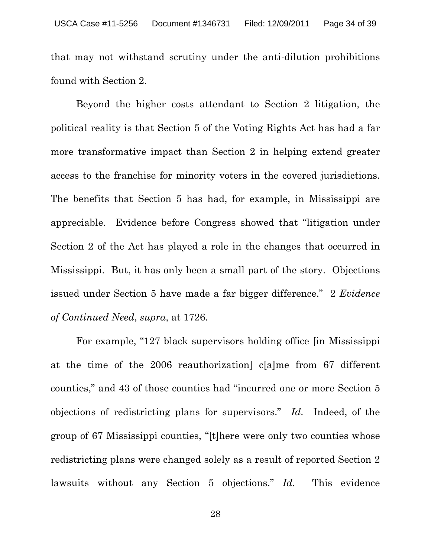that may not withstand scrutiny under the anti-dilution prohibitions found with Section 2.

Beyond the higher costs attendant to Section 2 litigation, the political reality is that Section 5 of the Voting Rights Act has had a far more transformative impact than Section 2 in helping extend greater access to the franchise for minority voters in the covered jurisdictions. The benefits that Section 5 has had, for example, in Mississippi are appreciable. Evidence before Congress showed that "litigation under Section 2 of the Act has played a role in the changes that occurred in Mississippi. But, it has only been a small part of the story. Objections issued under Section 5 have made a far bigger difference." 2 *Evidence of Continued Need*, *supra*, at 1726.

For example, "127 black supervisors holding office [in Mississippi at the time of the 2006 reauthorization] c[a]me from 67 different counties," and 43 of those counties had "incurred one or more Section 5 objections of redistricting plans for supervisors." *Id.* Indeed, of the group of 67 Mississippi counties, "[t]here were only two counties whose redistricting plans were changed solely as a result of reported Section 2 lawsuits without any Section 5 objections." *Id.* This evidence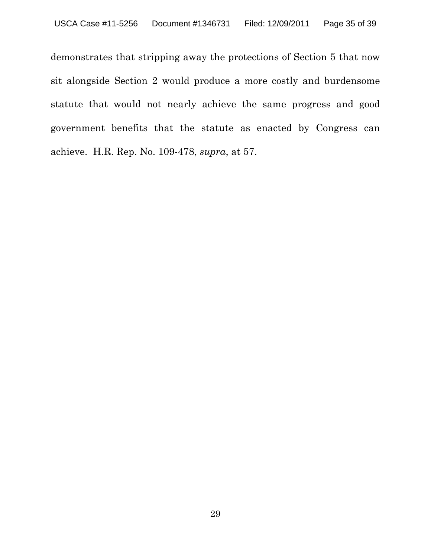demonstrates that stripping away the protections of Section 5 that now sit alongside Section 2 would produce a more costly and burdensome statute that would not nearly achieve the same progress and good government benefits that the statute as enacted by Congress can achieve. H.R. Rep. No. 109-478, *supra*, at 57.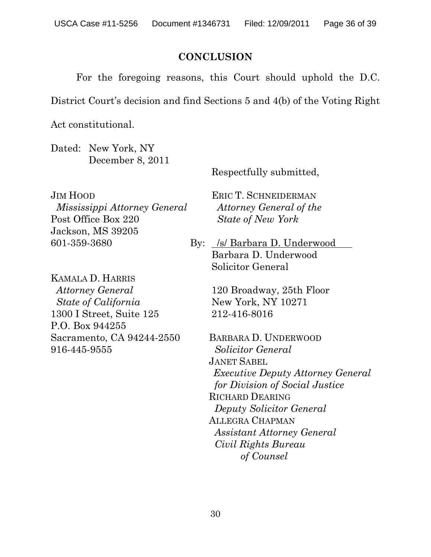### **CONCLUSION**

For the foregoing reasons, this Court should uphold the D.C.

District Court's decision and find Sections 5 and 4(b) of the Voting Right

Act constitutional.

Dated: New York, NY December 8, 2011

Respectfully submitted,

JIM HOOD *Mississippi Attorney General* Post Office Box 220 Jackson, MS 39205 601-359-3680

KAMALA D. HARRIS *Attorney General State of California* 1300 I Street, Suite 125 P.O. Box 944255 Sacramento, CA 94244-2550 916-445-9555

ERIC T. SCHNEIDERMAN *Attorney General of the State of New York*

By: /s/ Barbara D. Underwood Barbara D. Underwood Solicitor General

> 120 Broadway, 25th Floor New York, NY 10271 212-416-8016

BARBARA D. UNDERWOOD *Solicitor General*  JANET SABEL *Executive Deputy Attorney General for Division of Social Justice*  RICHARD DEARING *Deputy Solicitor General* ALLEGRA CHAPMAN *Assistant Attorney General Civil Rights Bureau of Counsel*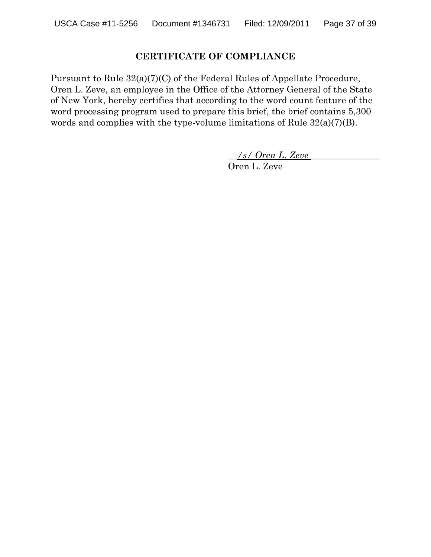#### **CERTIFICATE OF COMPLIANCE**

Pursuant to Rule 32(a)(7)(C) of the Federal Rules of Appellate Procedure, Oren L. Zeve, an employee in the Office of the Attorney General of the State of New York, hereby certifies that according to the word count feature of the word processing program used to prepare this brief, the brief contains 5,300 words and complies with the type-volume limitations of Rule 32(a)(7)(B).

\_\_*/s/ Oren L. Zeve* \_\_\_\_\_\_\_\_\_\_\_\_\_\_\_

Oren L. Zeve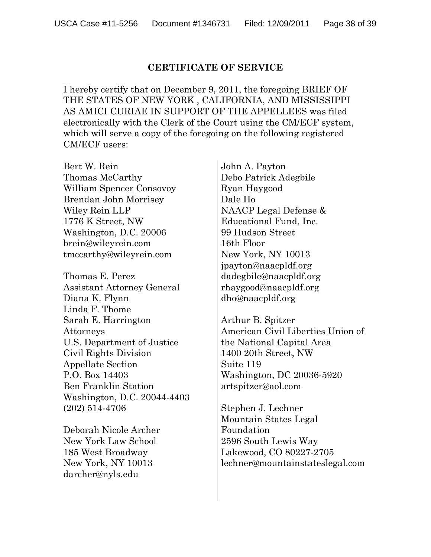#### **CERTIFICATE OF SERVICE**

I hereby certify that on December 9, 2011, the foregoing BRIEF OF THE STATES OF NEW YORK , CALIFORNIA, AND MISSISSIPPI AS AMICI CURIAE IN SUPPORT OF THE APPELLEES was filed electronically with the Clerk of the Court using the CM/ECF system, which will serve a copy of the foregoing on the following registered CM/ECF users:

Bert W. Rein Thomas McCarthy William Spencer Consovoy Brendan John Morrisey Wiley Rein LLP 1776 K Street, NW Washington, D.C. 20006 brein@wileyrein.com tmccarthy@wileyrein.com

Thomas E. Perez Assistant Attorney General Diana K. Flynn Linda F. Thome Sarah E. Harrington Attorneys U.S. Department of Justice Civil Rights Division Appellate Section P.O. Box 14403 Ben Franklin Station Washington, D.C. 20044-4403 (202) 514-4706

Deborah Nicole Archer New York Law School 185 West Broadway New York, NY 10013 darcher@nyls.edu

John A. Payton Debo Patrick Adegbile Ryan Haygood Dale Ho NAACP Legal Defense & Educational Fund, Inc. 99 Hudson Street 16th Floor New York, NY 10013 jpayton@naacpldf.org dadegbile@naacpldf.org rhaygood@naacpldf.org dho@naacpldf.org

Arthur B. Spitzer American Civil Liberties Union of the National Capital Area 1400 20th Street, NW Suite 119 Washington, DC 20036-5920 artspitzer@aol.com

Stephen J. Lechner Mountain States Legal Foundation 2596 South Lewis Way Lakewood, CO 80227-2705 lechner@mountainstateslegal.com